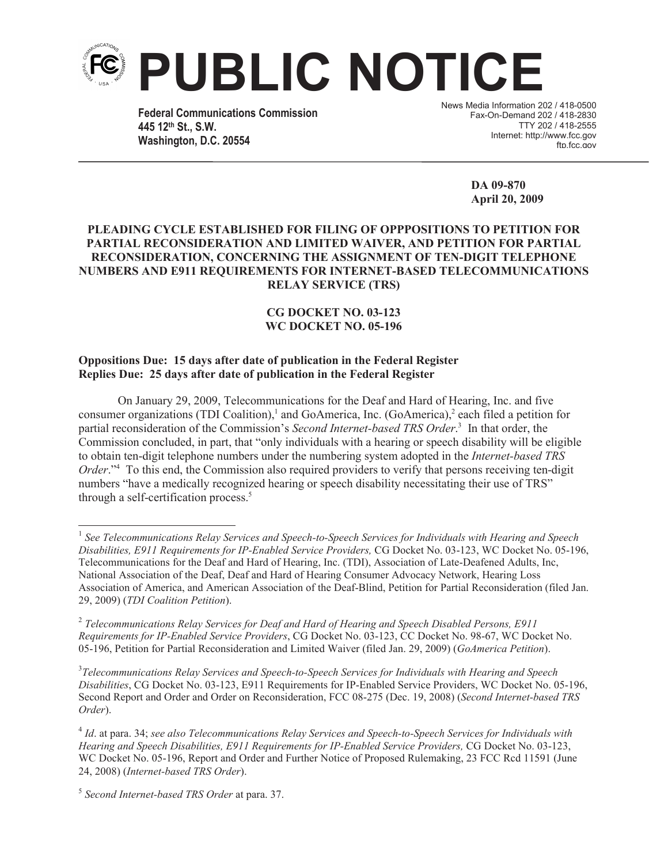

**Federal Communications Commission 445 12th St., S.W. Washington, D.C. 20554**

News Media Information 202 / 418-0500 Fax-On-Demand 202 / 418-2830 TTY 202 / 418-2555 Internet: http://www.fcc.gov ftn.fcc.gov

> **DA 09-870 April 20, 2009**

## **PLEADING CYCLE ESTABLISHED FOR FILING OF OPPPOSITIONS TO PETITION FOR PARTIAL RECONSIDERATION AND LIMITED WAIVER, AND PETITION FOR PARTIAL RECONSIDERATION, CONCERNING THE ASSIGNMENT OF TEN-DIGIT TELEPHONE NUMBERS AND E911 REQUIREMENTS FOR INTERNET-BASED TELECOMMUNICATIONS RELAY SERVICE (TRS)**

## **CG DOCKET NO. 03-123 WC DOCKET NO. 05-196**

## **Oppositions Due: 15 days after date of publication in the Federal Register Replies Due: 25 days after date of publication in the Federal Register**

On January 29, 2009, Telecommunications for the Deaf and Hard of Hearing, Inc. and five consumer organizations (TDI Coalition),<sup>1</sup> and GoAmerica, Inc. (GoAmerica),<sup>2</sup> each filed a petition for partial reconsideration of the Commission's *Second Internet-based TRS Order*. 3 In that order, the Commission concluded, in part, that "only individuals with a hearing or speech disability will be eligible to obtain ten-digit telephone numbers under the numbering system adopted in the *Internet-based TRS Order*."<sup>4</sup> To this end, the Commission also required providers to verify that persons receiving ten-digit numbers "have a medically recognized hearing or speech disability necessitating their use of TRS" through a self-certification process.<sup>5</sup>

3 *Telecommunications Relay Services and Speech-to-Speech Services for Individuals with Hearing and Speech Disabilities*, CG Docket No. 03-123, E911 Requirements for IP-Enabled Service Providers, WC Docket No. 05-196, Second Report and Order and Order on Reconsideration, FCC 08-275 (Dec. 19, 2008) (*Second Internet-based TRS Order*).

<sup>1</sup> *See Telecommunications Relay Services and Speech-to-Speech Services for Individuals with Hearing and Speech Disabilities, E911 Requirements for IP-Enabled Service Providers,* CG Docket No. 03-123, WC Docket No. 05-196, Telecommunications for the Deaf and Hard of Hearing, Inc. (TDI), Association of Late-Deafened Adults, Inc, National Association of the Deaf, Deaf and Hard of Hearing Consumer Advocacy Network, Hearing Loss Association of America, and American Association of the Deaf-Blind, Petition for Partial Reconsideration (filed Jan. 29, 2009) (*TDI Coalition Petition*).

<sup>2</sup> *Telecommunications Relay Services for Deaf and Hard of Hearing and Speech Disabled Persons, E911 Requirements for IP-Enabled Service Providers*, CG Docket No. 03-123, CC Docket No. 98-67, WC Docket No. 05-196, Petition for Partial Reconsideration and Limited Waiver (filed Jan. 29, 2009) (*GoAmerica Petition*).

<sup>4</sup> *Id*. at para. 34; *see also Telecommunications Relay Services and Speech-to-Speech Services for Individuals with Hearing and Speech Disabilities, E911 Requirements for IP-Enabled Service Providers,* CG Docket No. 03-123, WC Docket No. 05-196, Report and Order and Further Notice of Proposed Rulemaking, 23 FCC Rcd 11591 (June 24, 2008) (*Internet-based TRS Order*).

<sup>5</sup> *Second Internet-based TRS Order* at para. 37.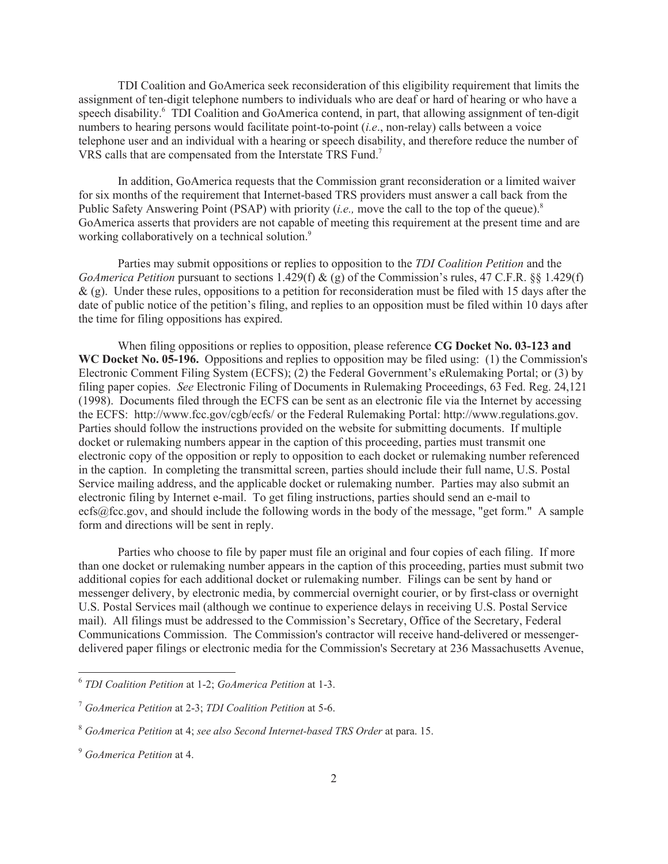TDI Coalition and GoAmerica seek reconsideration of this eligibility requirement that limits the assignment of ten-digit telephone numbers to individuals who are deaf or hard of hearing or who have a speech disability.<sup>6</sup> TDI Coalition and GoAmerica contend, in part, that allowing assignment of ten-digit numbers to hearing persons would facilitate point-to-point (*i.e*., non-relay) calls between a voice telephone user and an individual with a hearing or speech disability, and therefore reduce the number of VRS calls that are compensated from the Interstate TRS Fund.<sup>7</sup>

In addition, GoAmerica requests that the Commission grant reconsideration or a limited waiver for six months of the requirement that Internet-based TRS providers must answer a call back from the Public Safety Answering Point (PSAP) with priority *(i.e., move the call to the top of the queue*).<sup>8</sup> GoAmerica asserts that providers are not capable of meeting this requirement at the present time and are working collaboratively on a technical solution.<sup>9</sup>

Parties may submit oppositions or replies to opposition to the *TDI Coalition Petition* and the *GoAmerica Petition* pursuant to sections 1.429(f) & (g) of the Commission's rules, 47 C.F.R. §§ 1.429(f)  $\&$  (g). Under these rules, oppositions to a petition for reconsideration must be filed with 15 days after the date of public notice of the petition's filing, and replies to an opposition must be filed within 10 days after the time for filing oppositions has expired.

When filing oppositions or replies to opposition, please reference **CG Docket No. 03-123 and WC Docket No. 05-196.** Oppositions and replies to opposition may be filed using: (1) the Commission's Electronic Comment Filing System (ECFS); (2) the Federal Government's eRulemaking Portal; or (3) by filing paper copies. *See* Electronic Filing of Documents in Rulemaking Proceedings, 63 Fed. Reg. 24,121 (1998). Documents filed through the ECFS can be sent as an electronic file via the Internet by accessing the ECFS: http://www.fcc.gov/cgb/ecfs/ or the Federal Rulemaking Portal: http://www.regulations.gov. Parties should follow the instructions provided on the website for submitting documents. If multiple docket or rulemaking numbers appear in the caption of this proceeding, parties must transmit one electronic copy of the opposition or reply to opposition to each docket or rulemaking number referenced in the caption. In completing the transmittal screen, parties should include their full name, U.S. Postal Service mailing address, and the applicable docket or rulemaking number. Parties may also submit an electronic filing by Internet e-mail. To get filing instructions, parties should send an e-mail to ecfs@fcc.gov, and should include the following words in the body of the message, "get form." A sample form and directions will be sent in reply.

Parties who choose to file by paper must file an original and four copies of each filing. If more than one docket or rulemaking number appears in the caption of this proceeding, parties must submit two additional copies for each additional docket or rulemaking number. Filings can be sent by hand or messenger delivery, by electronic media, by commercial overnight courier, or by first-class or overnight U.S. Postal Services mail (although we continue to experience delays in receiving U.S. Postal Service mail). All filings must be addressed to the Commission's Secretary, Office of the Secretary, Federal Communications Commission. The Commission's contractor will receive hand-delivered or messengerdelivered paper filings or electronic media for the Commission's Secretary at 236 Massachusetts Avenue,

<sup>6</sup> *TDI Coalition Petition* at 1-2; *GoAmerica Petition* at 1-3.

<sup>7</sup> *GoAmerica Petition* at 2-3; *TDI Coalition Petition* at 5-6.

<sup>8</sup> *GoAmerica Petition* at 4; *see also Second Internet-based TRS Order* at para. 15.

<sup>9</sup> *GoAmerica Petition* at 4.